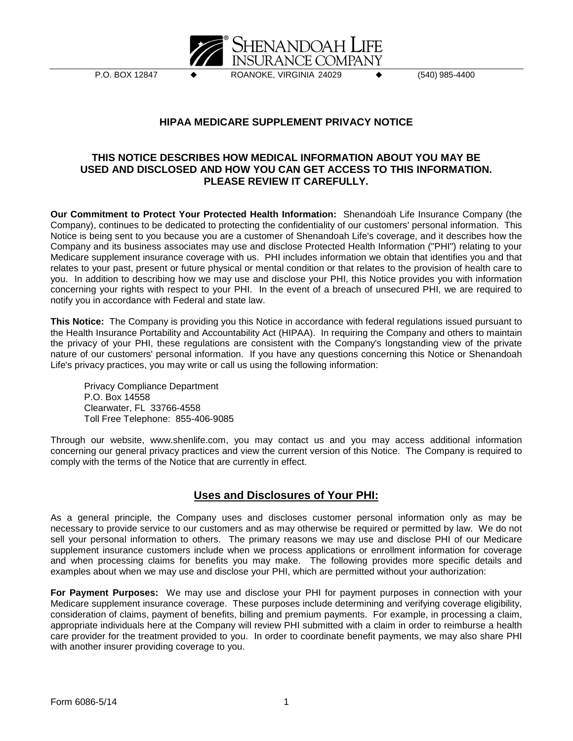

P.O. BOX 12847 ◆ ROANOKE, VIRGINIA 24029 ◆ (540) 985-4400

## **HIPAA MEDICARE SUPPLEMENT PRIVACY NOTICE**

## **THIS NOTICE DESCRIBES HOW MEDICAL INFORMATION ABOUT YOU MAY BE USED AND DISCLOSED AND HOW YOU CAN GET ACCESS TO THIS INFORMATION. PLEASE REVIEW IT CAREFULLY.**

**Our Commitment to Protect Your Protected Health Information:** Shenandoah Life Insurance Company (the Company), continues to be dedicated to protecting the confidentiality of our customers' personal information. This Notice is being sent to you because you are a customer of Shenandoah Life's coverage, and it describes how the Company and its business associates may use and disclose Protected Health Information ("PHI") relating to your Medicare supplement insurance coverage with us. PHI includes information we obtain that identifies you and that relates to your past, present or future physical or mental condition or that relates to the provision of health care to you. In addition to describing how we may use and disclose your PHI, this Notice provides you with information concerning your rights with respect to your PHI. In the event of a breach of unsecured PHI, we are required to notify you in accordance with Federal and state law.

**This Notice:** The Company is providing you this Notice in accordance with federal regulations issued pursuant to the Health Insurance Portability and Accountability Act (HIPAA). In requiring the Company and others to maintain the privacy of your PHI, these regulations are consistent with the Company's longstanding view of the private nature of our customers' personal information. If you have any questions concerning this Notice or Shenandoah Life's privacy practices, you may write or call us using the following information:

Privacy Compliance Department P.O. Box 14558 Clearwater, FL 33766-4558 Toll Free Telephone: 855-406-9085

Through our website, www.shenlife.com, you may contact us and you may access additional information concerning our general privacy practices and view the current version of this Notice. The Company is required to comply with the terms of the Notice that are currently in effect.

## **Uses and Disclosures of Your PHI:**

As a general principle, the Company uses and discloses customer personal information only as may be necessary to provide service to our customers and as may otherwise be required or permitted by law. We do not sell your personal information to others. The primary reasons we may use and disclose PHI of our Medicare supplement insurance customers include when we process applications or enrollment information for coverage and when processing claims for benefits you may make. The following provides more specific details and examples about when we may use and disclose your PHI, which are permitted without your authorization:

**For Payment Purposes:** We may use and disclose your PHI for payment purposes in connection with your Medicare supplement insurance coverage. These purposes include determining and verifying coverage eligibility, consideration of claims, payment of benefits, billing and premium payments. For example, in processing a claim, appropriate individuals here at the Company will review PHI submitted with a claim in order to reimburse a health care provider for the treatment provided to you. In order to coordinate benefit payments, we may also share PHI with another insurer providing coverage to you.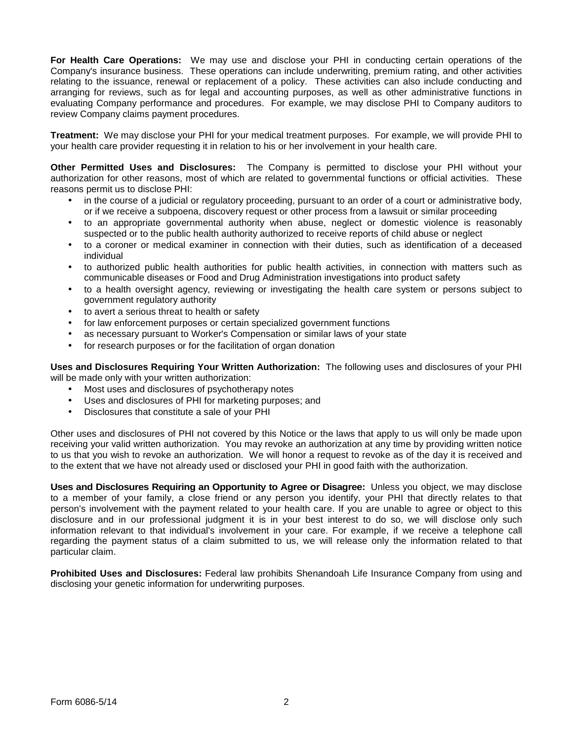**For Health Care Operations:** We may use and disclose your PHI in conducting certain operations of the Company's insurance business. These operations can include underwriting, premium rating, and other activities relating to the issuance, renewal or replacement of a policy. These activities can also include conducting and arranging for reviews, such as for legal and accounting purposes, as well as other administrative functions in evaluating Company performance and procedures. For example, we may disclose PHI to Company auditors to review Company claims payment procedures.

**Treatment:** We may disclose your PHI for your medical treatment purposes. For example, we will provide PHI to your health care provider requesting it in relation to his or her involvement in your health care.

**Other Permitted Uses and Disclosures:** The Company is permitted to disclose your PHI without your authorization for other reasons, most of which are related to governmental functions or official activities. These reasons permit us to disclose PHI:

- in the course of a judicial or regulatory proceeding, pursuant to an order of a court or administrative body, or if we receive a subpoena, discovery request or other process from a lawsuit or similar proceeding
- to an appropriate governmental authority when abuse, neglect or domestic violence is reasonably suspected or to the public health authority authorized to receive reports of child abuse or neglect
- to a coroner or medical examiner in connection with their duties, such as identification of a deceased individual
- to authorized public health authorities for public health activities, in connection with matters such as communicable diseases or Food and Drug Administration investigations into product safety
- to a health oversight agency, reviewing or investigating the health care system or persons subject to government regulatory authority
- to avert a serious threat to health or safety
- for law enforcement purposes or certain specialized government functions
- as necessary pursuant to Worker's Compensation or similar laws of your state
- for research purposes or for the facilitation of organ donation

**Uses and Disclosures Requiring Your Written Authorization:** The following uses and disclosures of your PHI will be made only with your written authorization:

- Most uses and disclosures of psychotherapy notes
- Uses and disclosures of PHI for marketing purposes; and
- Disclosures that constitute a sale of your PHI

Other uses and disclosures of PHI not covered by this Notice or the laws that apply to us will only be made upon receiving your valid written authorization. You may revoke an authorization at any time by providing written notice to us that you wish to revoke an authorization. We will honor a request to revoke as of the day it is received and to the extent that we have not already used or disclosed your PHI in good faith with the authorization.

**Uses and Disclosures Requiring an Opportunity to Agree or Disagree:** Unless you object, we may disclose to a member of your family, a close friend or any person you identify, your PHI that directly relates to that person's involvement with the payment related to your health care. If you are unable to agree or object to this disclosure and in our professional judgment it is in your best interest to do so, we will disclose only such information relevant to that individual's involvement in your care. For example, if we receive a telephone call regarding the payment status of a claim submitted to us, we will release only the information related to that particular claim.

**Prohibited Uses and Disclosures:** Federal law prohibits Shenandoah Life Insurance Company from using and disclosing your genetic information for underwriting purposes.